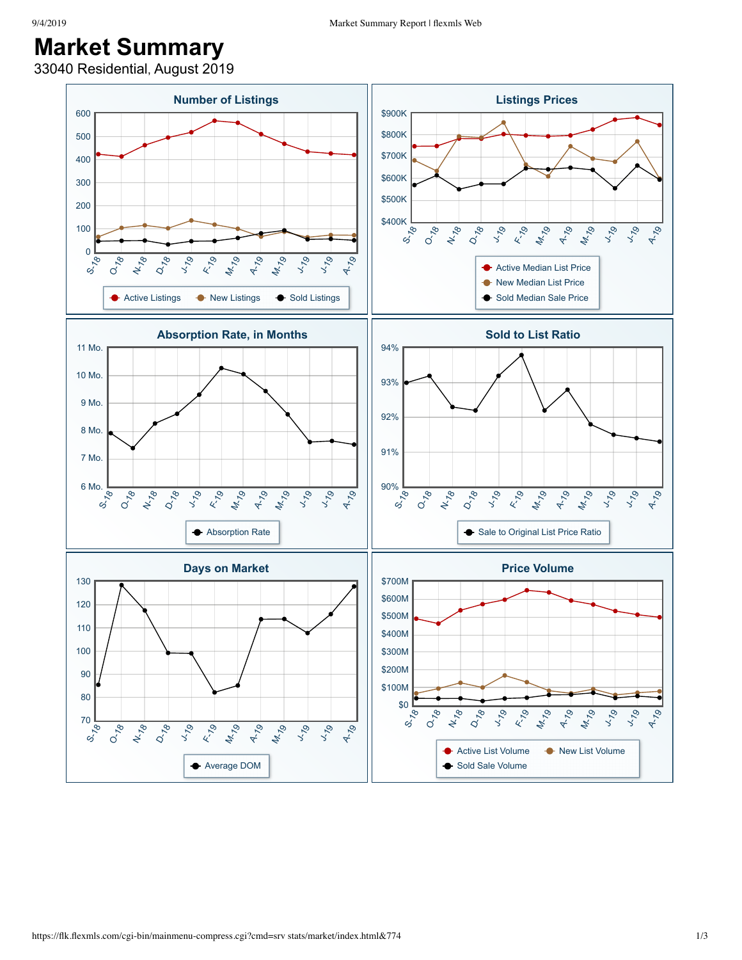## **Market Summary**

33040 Residential, August 2019

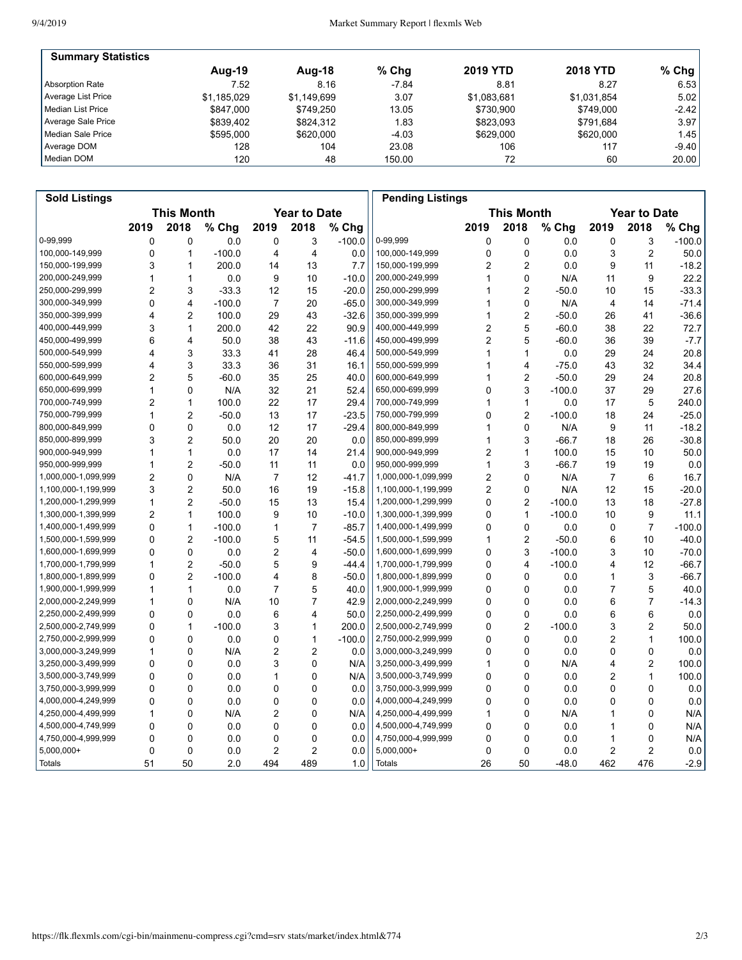| <b>Summary Statistics</b> |             |             |         |                 |                 |         |
|---------------------------|-------------|-------------|---------|-----------------|-----------------|---------|
|                           | Aug-19      | Aug-18      | $%$ Chg | <b>2019 YTD</b> | <b>2018 YTD</b> | $%$ Chg |
| Absorption Rate           | 7.52        | 8.16        | $-7.84$ | 8.81            | 8.27            | 6.53    |
| Average List Price        | \$1.185.029 | \$1.149.699 | 3.07    | \$1.083.681     | \$1,031,854     | 5.02    |
| l Median List Price       | \$847,000   | \$749.250   | 13.05   | \$730.900       | \$749.000       | $-2.42$ |
| Average Sale Price        | \$839.402   | \$824.312   | 1.83    | \$823.093       | \$791.684       | 3.97    |
| Median Sale Price         | \$595,000   | \$620,000   | $-4.03$ | \$629,000       | \$620,000       | 1.45    |
| Average DOM               | 128         | 104         | 23.08   | 106             | 117             | -9.40 l |
| Median DOM                | 120         | 48          | 150.00  | 72              | 60              | 20.00   |

| <b>Sold Listings</b> |                                          |                |          |                |                |                                          | <b>Pending Listings</b> |             |                |          |                |                |          |
|----------------------|------------------------------------------|----------------|----------|----------------|----------------|------------------------------------------|-------------------------|-------------|----------------|----------|----------------|----------------|----------|
|                      | <b>This Month</b><br><b>Year to Date</b> |                |          |                |                | <b>This Month</b><br><b>Year to Date</b> |                         |             |                |          |                |                |          |
|                      | 2019                                     | 2018           | % Chg    | 2019           | 2018           | % Chg                                    |                         | 2019        | 2018           | % Chg    | 2019           | 2018           | % Chg    |
| 0-99.999             | 0                                        | 0              | 0.0      | 0              | 3              | $-100.0$                                 | 0-99,999                | 0           | 0              | 0.0      | 0              | 3              | $-100.0$ |
| 100,000-149,999      | 0                                        | 1              | $-100.0$ | 4              | 4              | 0.0                                      | 100,000-149,999         | $\mathbf 0$ | $\mathbf 0$    | 0.0      | 3              | $\overline{2}$ | 50.0     |
| 150,000-199,999      | 3                                        | 1              | 200.0    | 14             | 13             | 7.7                                      | 150,000-199,999         | 2           | $\overline{2}$ | 0.0      | 9              | 11             | $-18.2$  |
| 200,000-249,999      | 1                                        | 1              | 0.0      | 9              | 10             | $-10.0$                                  | 200,000-249,999         | 1           | $\mathbf 0$    | N/A      | 11             | 9              | 22.2     |
| 250,000-299,999      | 2                                        | 3              | $-33.3$  | 12             | 15             | $-20.0$                                  | 250,000-299,999         | 1           | $\overline{2}$ | $-50.0$  | 10             | 15             | $-33.3$  |
| 300,000-349,999      | 0                                        | $\overline{4}$ | $-100.0$ | $\overline{7}$ | 20             | $-65.0$                                  | 300,000-349,999         | 1           | $\mathbf 0$    | N/A      | 4              | 14             | $-71.4$  |
| 350,000-399,999      | 4                                        | $\overline{c}$ | 100.0    | 29             | 43             | $-32.6$                                  | 350,000-399,999         | 1           | $\overline{2}$ | $-50.0$  | 26             | 41             | $-36.6$  |
| 400,000-449,999      | 3                                        | 1              | 200.0    | 42             | 22             | 90.9                                     | 400,000-449,999         | 2           | 5              | $-60.0$  | 38             | 22             | 72.7     |
| 450,000-499,999      | 6                                        | $\overline{4}$ | 50.0     | 38             | 43             | $-11.6$                                  | 450,000-499,999         | 2           | 5              | $-60.0$  | 36             | 39             | $-7.7$   |
| 500,000-549,999      | 4                                        | 3              | 33.3     | 41             | 28             | 46.4                                     | 500,000-549,999         | 1           | $\mathbf{1}$   | 0.0      | 29             | 24             | 20.8     |
| 550,000-599,999      | 4                                        | 3              | 33.3     | 36             | 31             | 16.1                                     | 550,000-599,999         | 1           | $\overline{4}$ | $-75.0$  | 43             | 32             | 34.4     |
| 600,000-649,999      | $\overline{c}$                           | 5              | $-60.0$  | 35             | 25             | 40.0                                     | 600,000-649,999         | 1           | $\overline{2}$ | $-50.0$  | 29             | 24             | 20.8     |
| 650,000-699,999      | 1                                        | 0              | N/A      | 32             | 21             | 52.4                                     | 650,000-699,999         | 0           | 3              | $-100.0$ | 37             | 29             | 27.6     |
| 700,000-749,999      | $\overline{2}$                           | 1              | 100.0    | 22             | 17             | 29.4                                     | 700,000-749,999         | 1           | $\mathbf{1}$   | 0.0      | 17             | 5              | 240.0    |
| 750,000-799,999      | 1                                        | $\overline{c}$ | $-50.0$  | 13             | 17             | $-23.5$                                  | 750,000-799,999         | 0           | $\overline{c}$ | $-100.0$ | 18             | 24             | $-25.0$  |
| 800,000-849,999      | 0                                        | 0              | 0.0      | 12             | 17             | $-29.4$                                  | 800,000-849,999         | 1           | $\mathbf 0$    | N/A      | 9              | 11             | $-18.2$  |
| 850,000-899,999      | 3                                        | $\overline{2}$ | 50.0     | 20             | 20             | 0.0                                      | 850,000-899,999         | 1           | 3              | $-66.7$  | 18             | 26             | $-30.8$  |
| 900,000-949,999      | 1                                        | 1              | 0.0      | 17             | 14             | 21.4                                     | 900,000-949,999         | 2           | $\mathbf{1}$   | 100.0    | 15             | 10             | 50.0     |
| 950,000-999,999      | 1                                        | 2              | $-50.0$  | 11             | 11             | 0.0                                      | 950,000-999,999         | 1           | 3              | $-66.7$  | 19             | 19             | 0.0      |
| 1,000,000-1,099,999  | 2                                        | $\mathbf 0$    | N/A      | 7              | 12             | $-41.7$                                  | 1,000,000-1,099,999     | 2           | $\mathbf 0$    | N/A      | 7              | 6              | 16.7     |
| 1,100,000-1,199,999  | 3                                        | 2              | 50.0     | 16             | 19             | $-15.8$                                  | 1,100,000-1,199,999     | 2           | 0              | N/A      | 12             | 15             | $-20.0$  |
| 1,200,000-1,299,999  | 1                                        | $\overline{2}$ | $-50.0$  | 15             | 13             | 15.4                                     | 1,200,000-1,299,999     | 0           | $\overline{2}$ | $-100.0$ | 13             | 18             | $-27.8$  |
| 1,300,000-1,399,999  | $\overline{2}$                           | 1              | 100.0    | 9              | 10             | $-10.0$                                  | 1,300,000-1,399,999     | 0           | $\mathbf{1}$   | $-100.0$ | 10             | 9              | 11.1     |
| 1,400,000-1,499,999  | $\mathbf 0$                              | 1              | $-100.0$ | 1              | 7              | $-85.7$                                  | 1,400,000-1,499,999     | 0           | $\mathbf 0$    | 0.0      | 0              | $\overline{7}$ | $-100.0$ |
| 1,500,000-1,599,999  | 0                                        | $\overline{2}$ | $-100.0$ | 5              | 11             | $-54.5$                                  | 1,500,000-1,599,999     | 1           | $\overline{2}$ | $-50.0$  | 6              | 10             | $-40.0$  |
| 1,600,000-1,699,999  | 0                                        | 0              | 0.0      | 2              | 4              | $-50.0$                                  | 1,600,000-1,699,999     | 0           | 3              | $-100.0$ | 3              | 10             | $-70.0$  |
| 1,700,000-1,799,999  | 1                                        | 2              | $-50.0$  | 5              | 9              | $-44.4$                                  | 1,700,000-1,799,999     | 0           | $\overline{4}$ | $-100.0$ | 4              | 12             | $-66.7$  |
| 1,800,000-1,899,999  | 0                                        | $\overline{c}$ | $-100.0$ | 4              | 8              | $-50.0$                                  | 1,800,000-1,899,999     | 0           | $\mathbf 0$    | 0.0      | 1              | 3              | $-66.7$  |
| 1,900,000-1,999,999  | 1                                        | 1              | 0.0      | $\overline{7}$ | 5              | 40.0                                     | 1,900,000-1,999,999     | 0           | $\mathbf 0$    | 0.0      | $\overline{7}$ | 5              | 40.0     |
| 2,000,000-2,249,999  | 1                                        | 0              | N/A      | 10             | $\overline{7}$ | 42.9                                     | 2,000,000-2,249,999     | $\mathbf 0$ | $\mathbf 0$    | 0.0      | 6              | $\overline{7}$ | $-14.3$  |
| 2,250,000-2,499,999  | 0                                        | 0              | 0.0      | 6              | 4              | 50.0                                     | 2,250,000-2,499,999     | 0           | $\mathbf 0$    | 0.0      | 6              | 6              | 0.0      |
| 2,500,000-2,749,999  | 0                                        | 1              | $-100.0$ | 3              | 1              | 200.0                                    | 2,500,000-2,749,999     | 0           | $\overline{2}$ | $-100.0$ | 3              | $\overline{2}$ | 50.0     |
| 2,750,000-2,999,999  | 0                                        | 0              | 0.0      | 0              | 1              | $-100.0$                                 | 2,750,000-2,999,999     | 0           | $\mathbf 0$    | 0.0      | 2              | $\mathbf{1}$   | 100.0    |
| 3,000,000-3,249,999  | 1                                        | 0              | N/A      | $\overline{c}$ | 2              | 0.0                                      | 3,000,000-3,249,999     | 0           | 0              | 0.0      | 0              | 0              | 0.0      |
| 3,250,000-3,499,999  | $\Omega$                                 | $\Omega$       | 0.0      | 3              | $\mathbf 0$    | N/A                                      | 3,250,000-3,499,999     | 1           | $\mathbf{0}$   | N/A      | 4              | $\overline{2}$ | 100.0    |
| 3,500,000-3,749,999  | 0                                        | $\mathbf 0$    | 0.0      | 1              | 0              | N/A                                      | 3,500,000-3,749,999     | 0           | $\mathbf{0}$   | 0.0      | 2              | $\mathbf{1}$   | 100.0    |
| 3,750,000-3,999,999  | 0                                        | 0              | 0.0      | 0              | 0              | 0.0                                      | 3,750,000-3,999,999     | 0           | $\mathbf 0$    | 0.0      | 0              | 0              | 0.0      |
| 4,000,000-4,249,999  | 0                                        | 0              | 0.0      | 0              | 0              | 0.0                                      | 4,000,000-4,249,999     | 0           | $\mathbf{0}$   | 0.0      | 0              | 0              | 0.0      |
| 4,250,000-4,499,999  | 1                                        | 0              | N/A      | 2              | 0              | N/A                                      | 4,250,000-4,499,999     | 1           | $\mathbf 0$    | N/A      | 1              | 0              | N/A      |
| 4,500,000-4,749,999  | 0                                        | 0              | 0.0      | 0              | 0              | 0.0                                      | 4,500,000-4,749,999     | 0           | 0              | 0.0      | 1              | 0              | N/A      |
| 4,750,000-4,999,999  | $\mathbf 0$                              | 0              | 0.0      | 0              | 0              | 0.0                                      | 4,750,000-4,999,999     | 0           | $\mathbf 0$    | 0.0      | 1              | 0              | N/A      |
| $5,000,000+$         | $\mathbf 0$                              | $\mathbf 0$    | 0.0      | 2              | $\overline{2}$ | 0.0                                      | 5,000,000+              | $\mathbf 0$ | $\mathbf 0$    | 0.0      | 2              | $\overline{2}$ | 0.0      |
| Totals               | 51                                       | 50             | 2.0      | 494            | 489            | 1.0                                      | Totals                  | 26          | 50             | $-48.0$  | 462            | 476            | $-2.9$   |